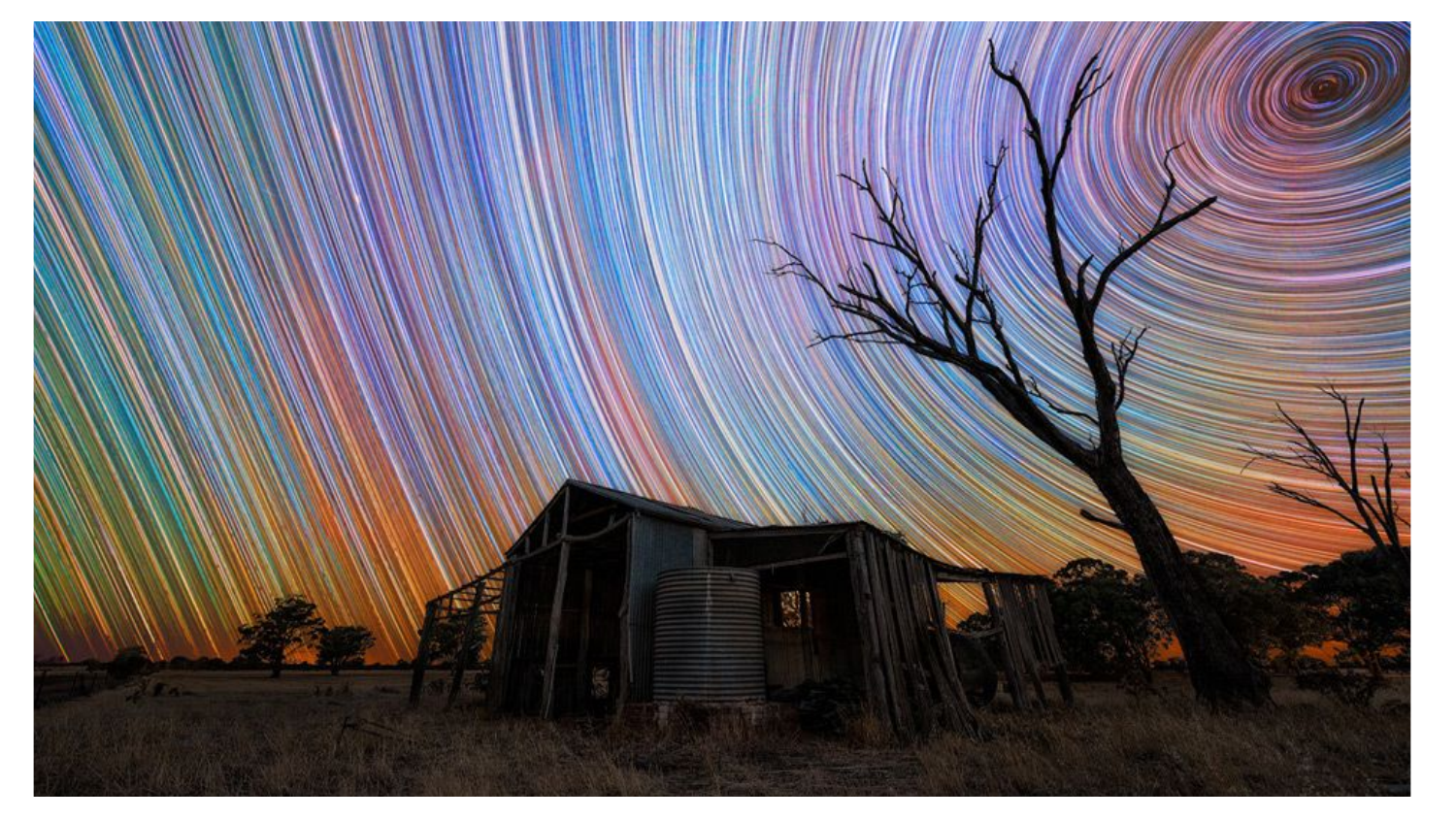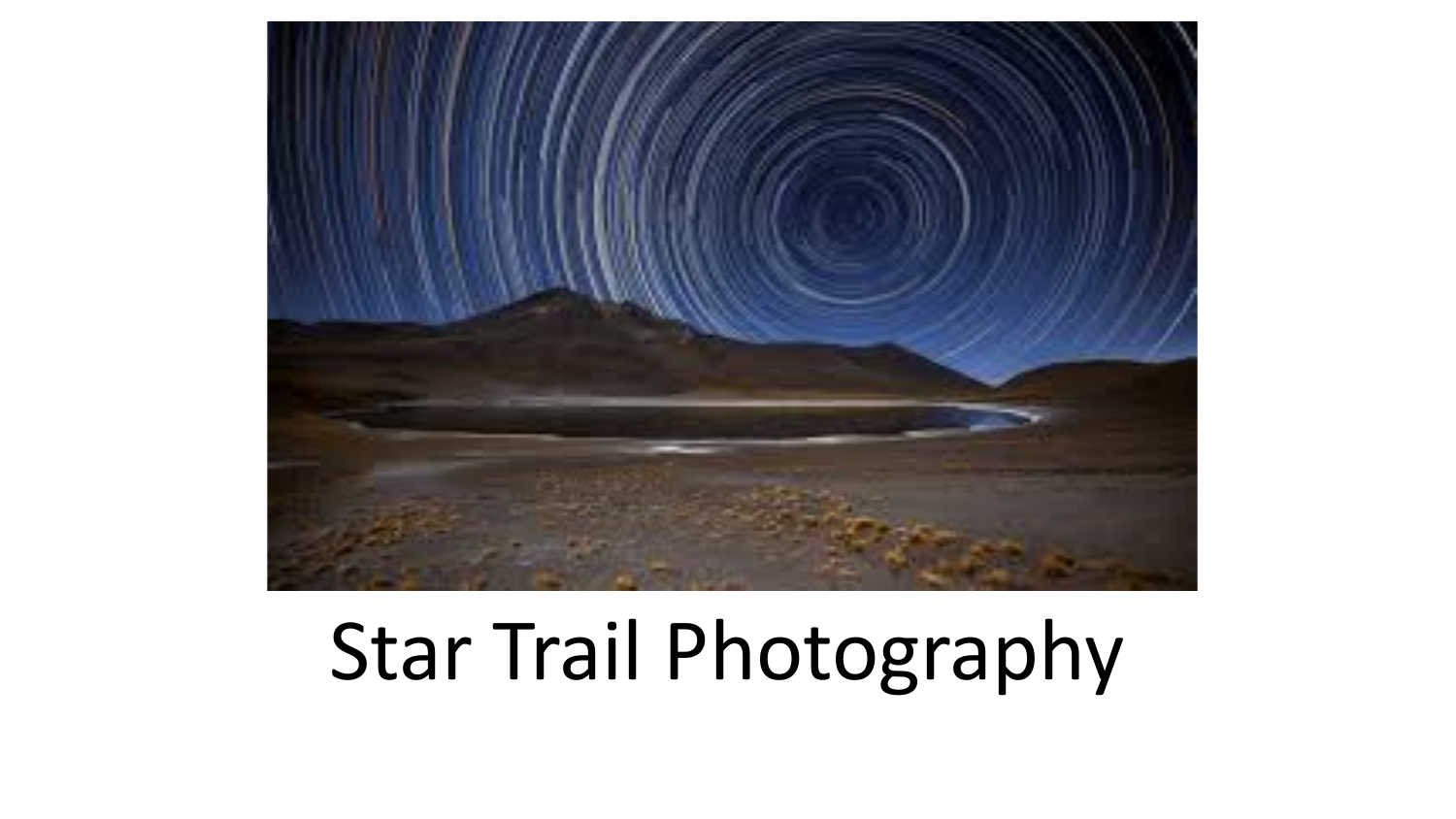

#### Star Trail Photography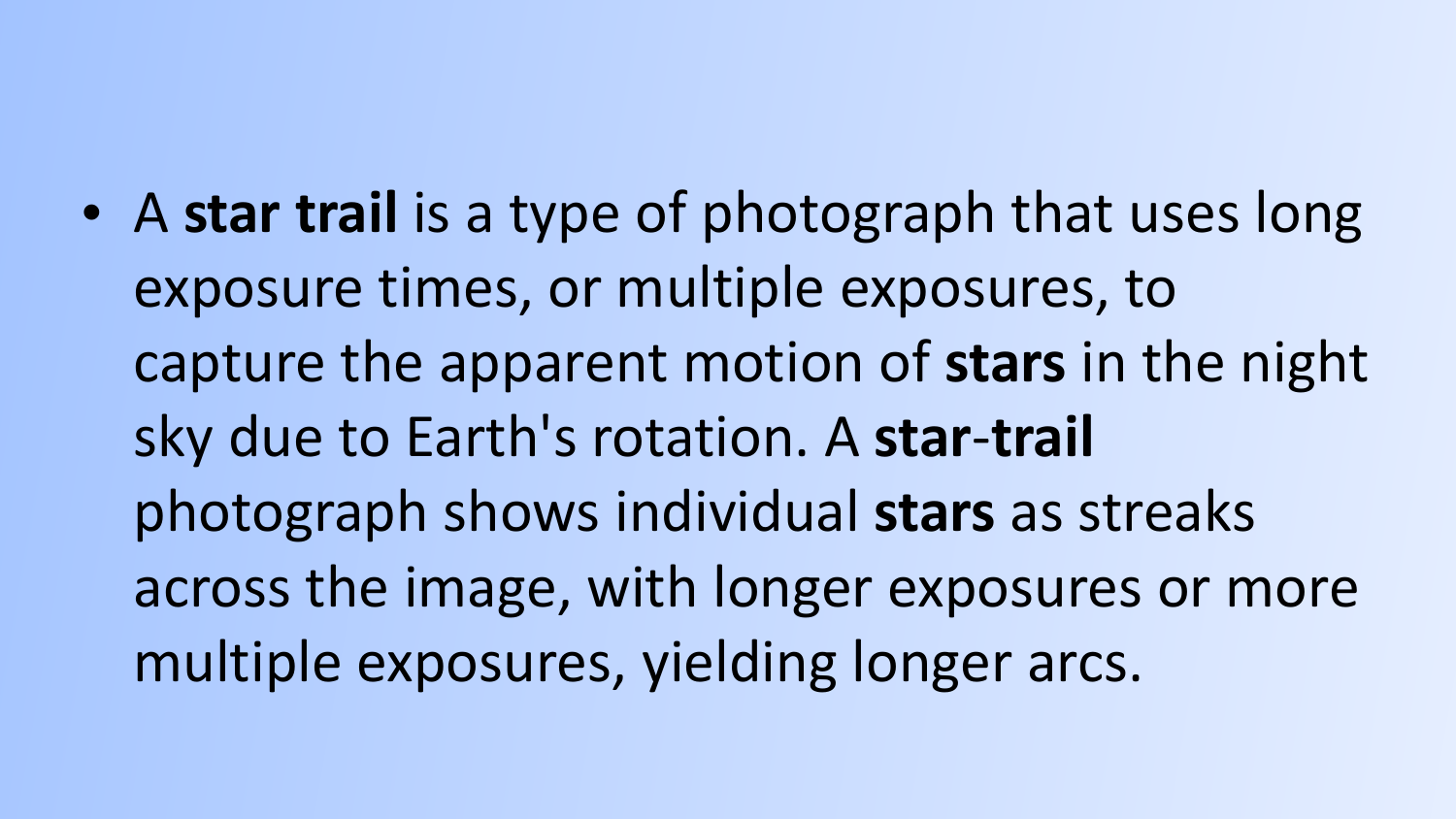• A star trail is a type of photograph that uses long exposure times, or multiple exposures, to capture the apparent motion of **stars** in the night sky due to Earth's rotation. A **star**-**trail** photograph shows individual **stars** as streaks across the image, with longer exposures or more multiple exposures, yielding longer arcs.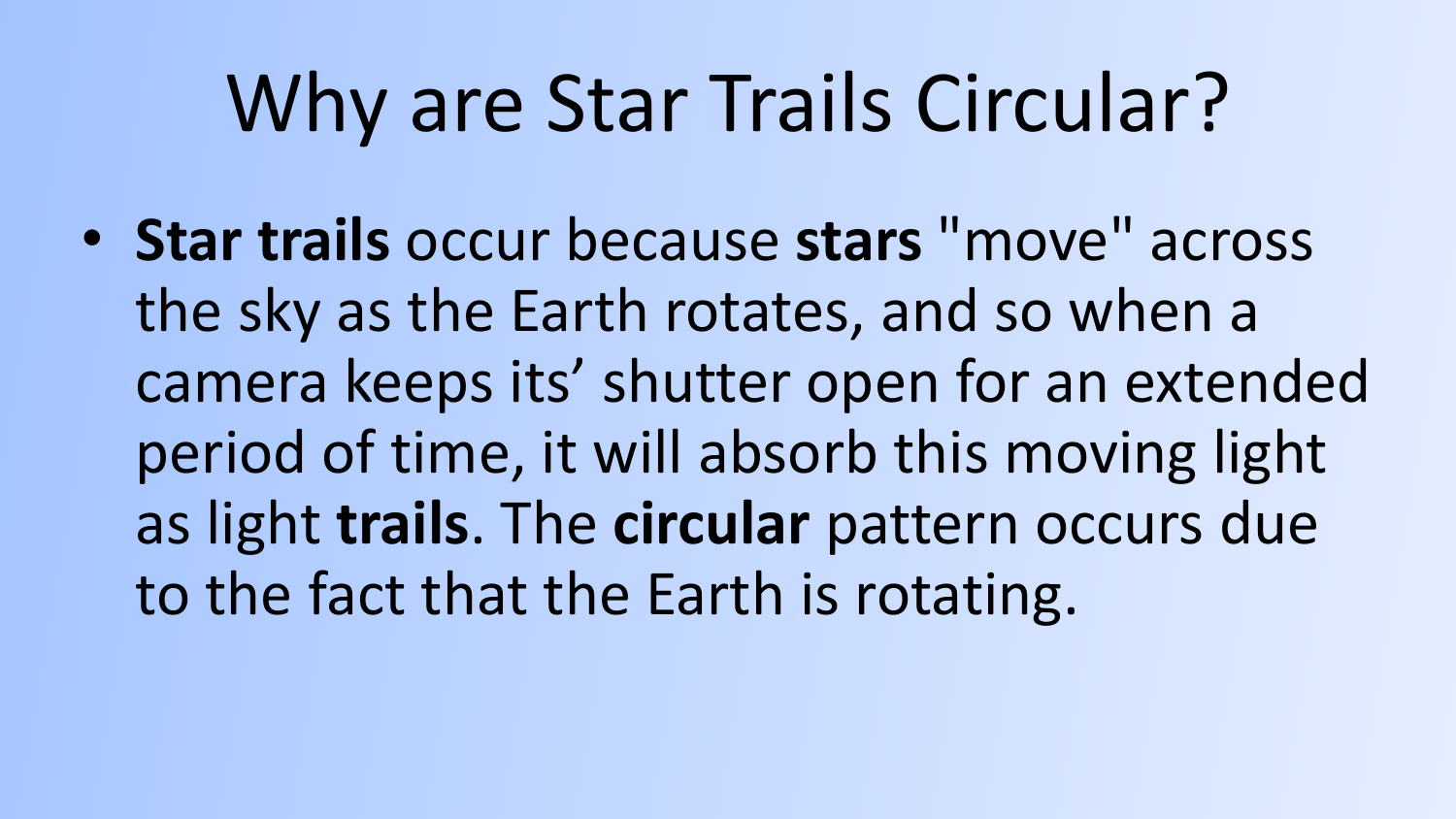#### Why are Star Trails Circular?

• **Star trails** occur because stars "move" across the sky as the Earth rotates, and so when a camera keeps its' shutter open for an extended period of time, it will absorb this moving light as light **trails**. The **circular** pattern occurs due to the fact that the Earth is rotating.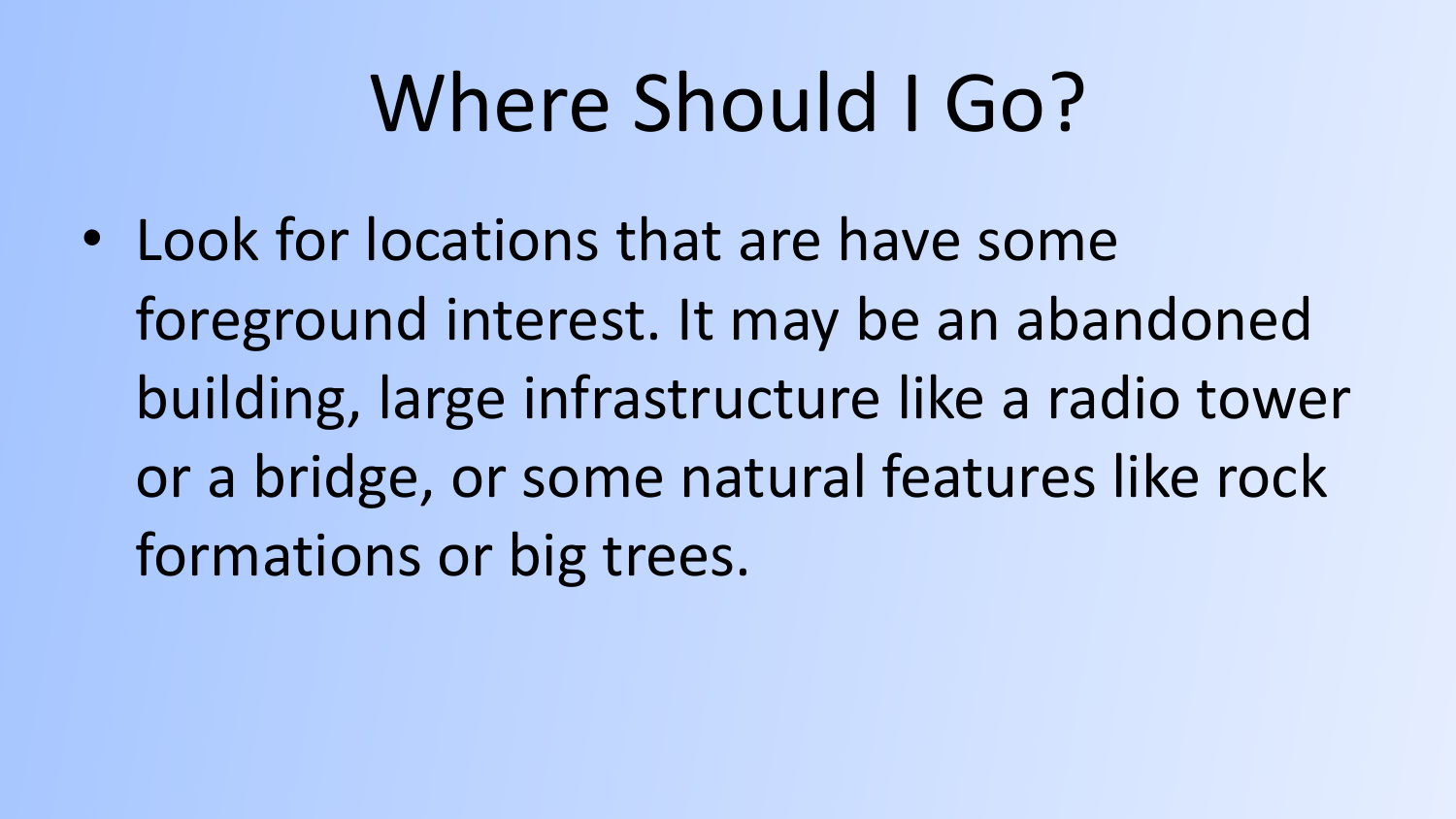• Look for locations that are have some foreground interest. It may be an abandoned building, large infrastructure like a radio tower or a bridge, or some natural features like rock formations or big trees.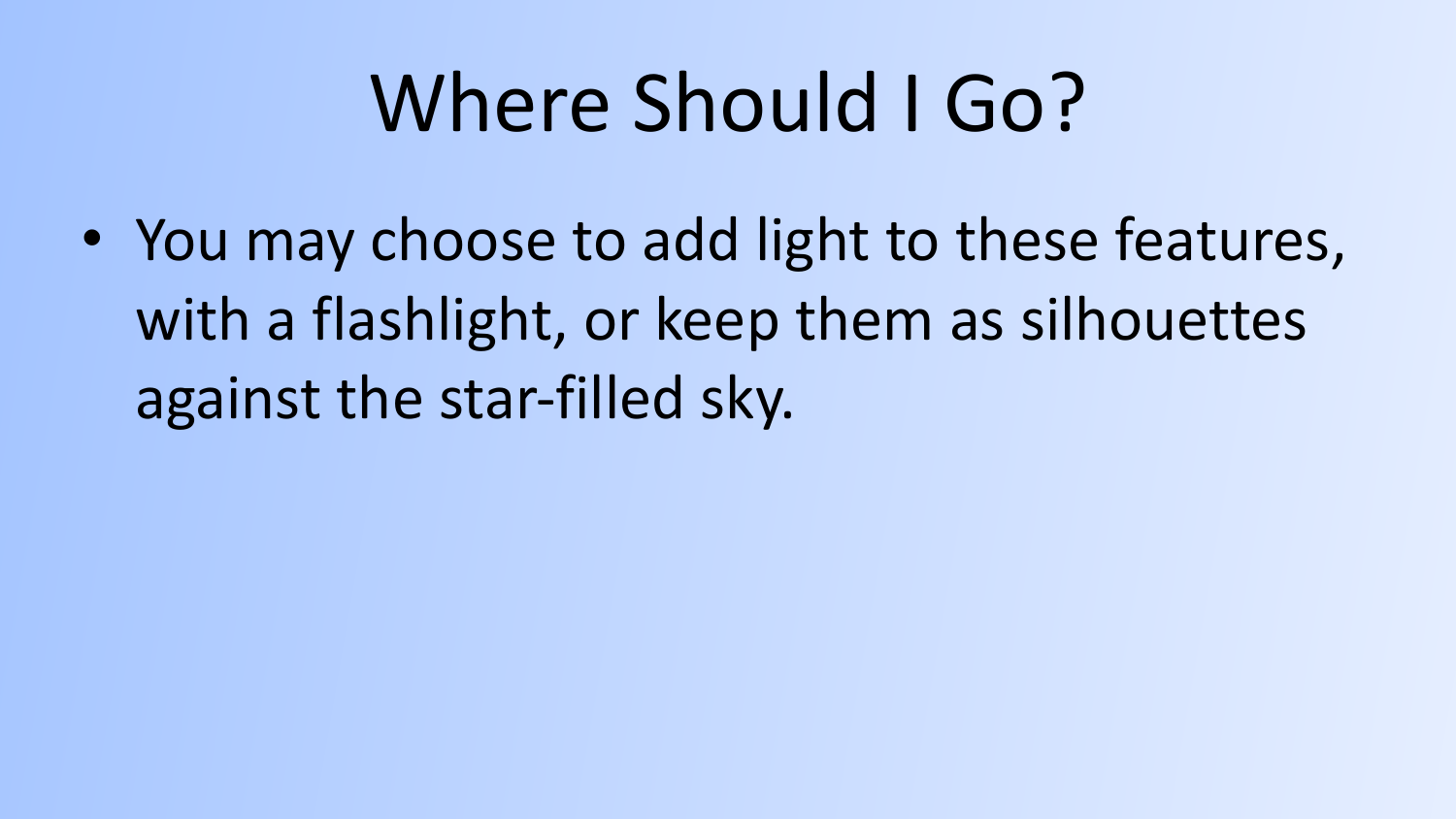• You may choose to add light to these features, with a flashlight, or keep them as silhouettes against the star-filled sky.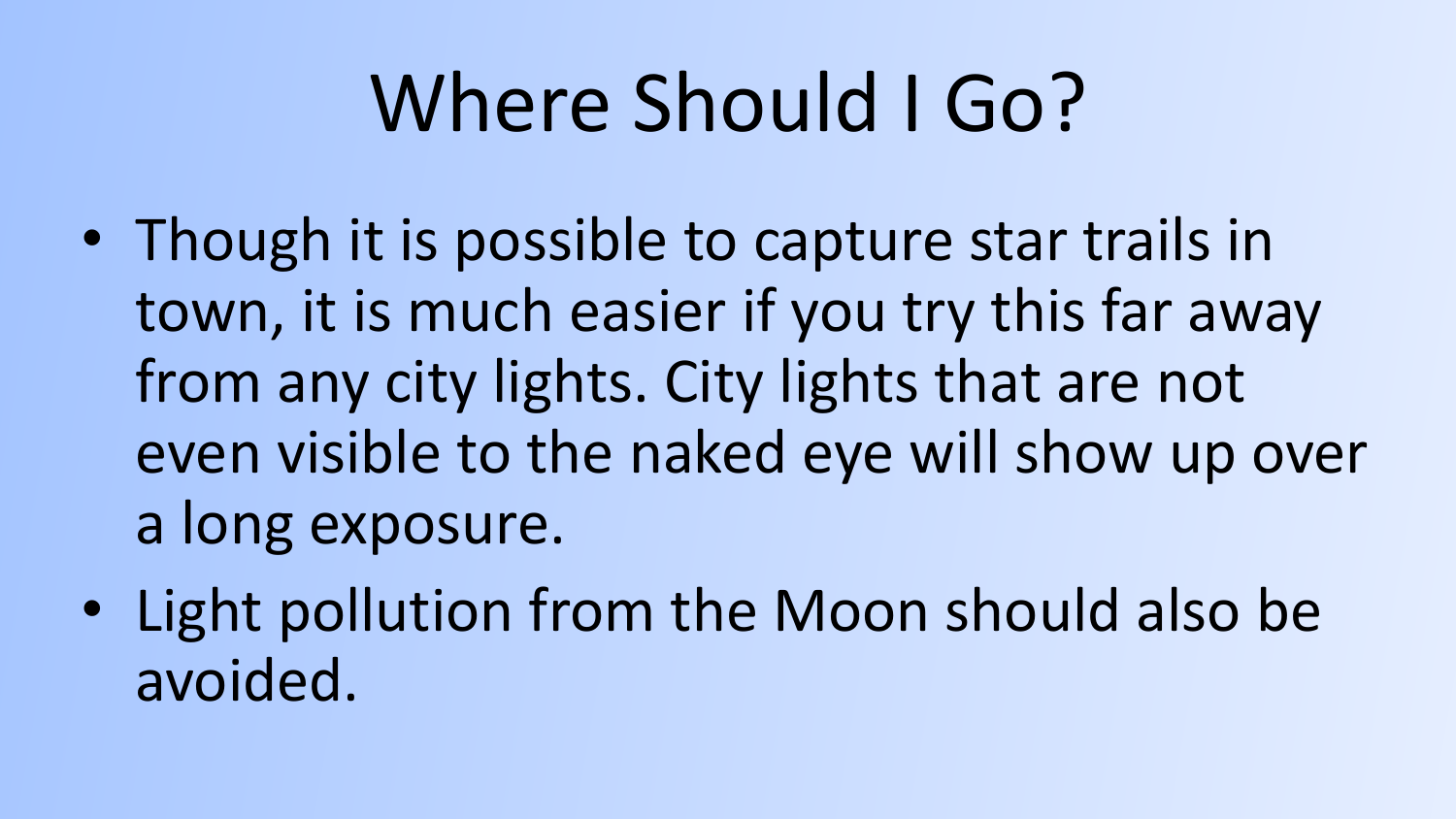- Though it is possible to capture star trails in town, it is much easier if you try this far away from any city lights. City lights that are not even visible to the naked eye will show up over a long exposure.
- Light pollution from the Moon should also be avoided.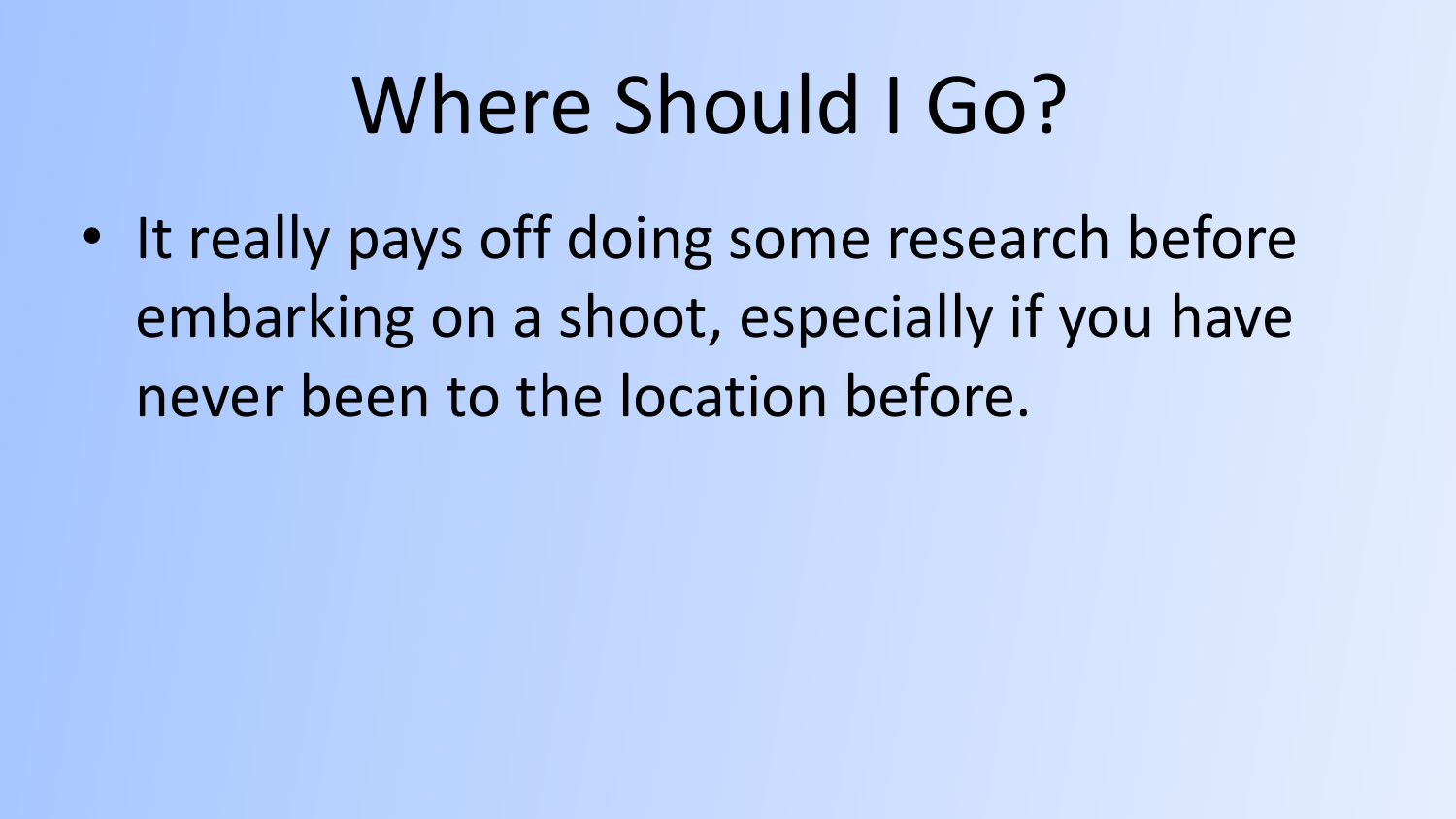• It really pays off doing some research before embarking on a shoot, especially if you have never been to the location before.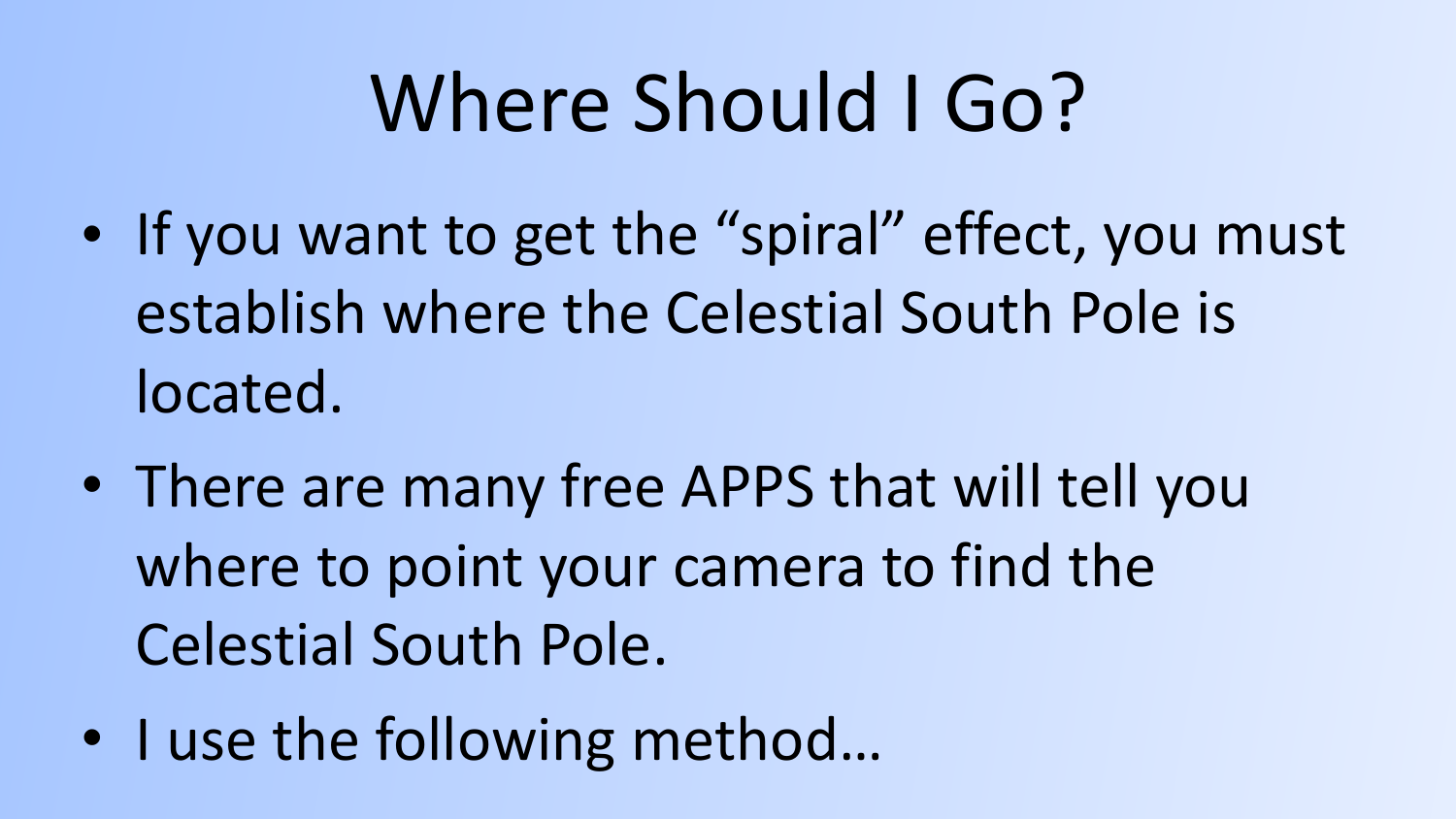- If you want to get the "spiral" effect, you must establish where the Celestial South Pole is located.
- There are many free APPS that will tell you where to point your camera to find the Celestial South Pole.
- I use the following method...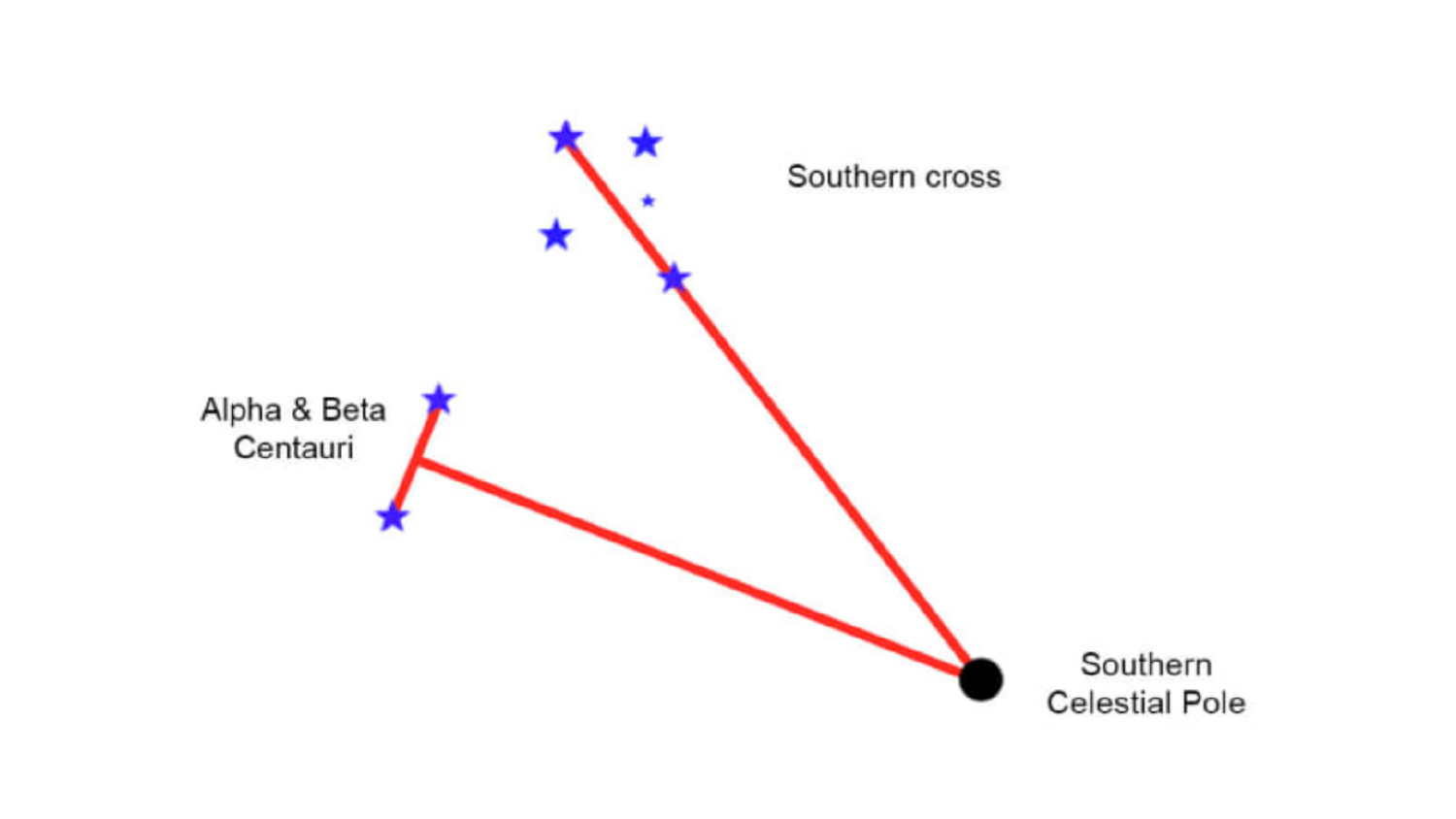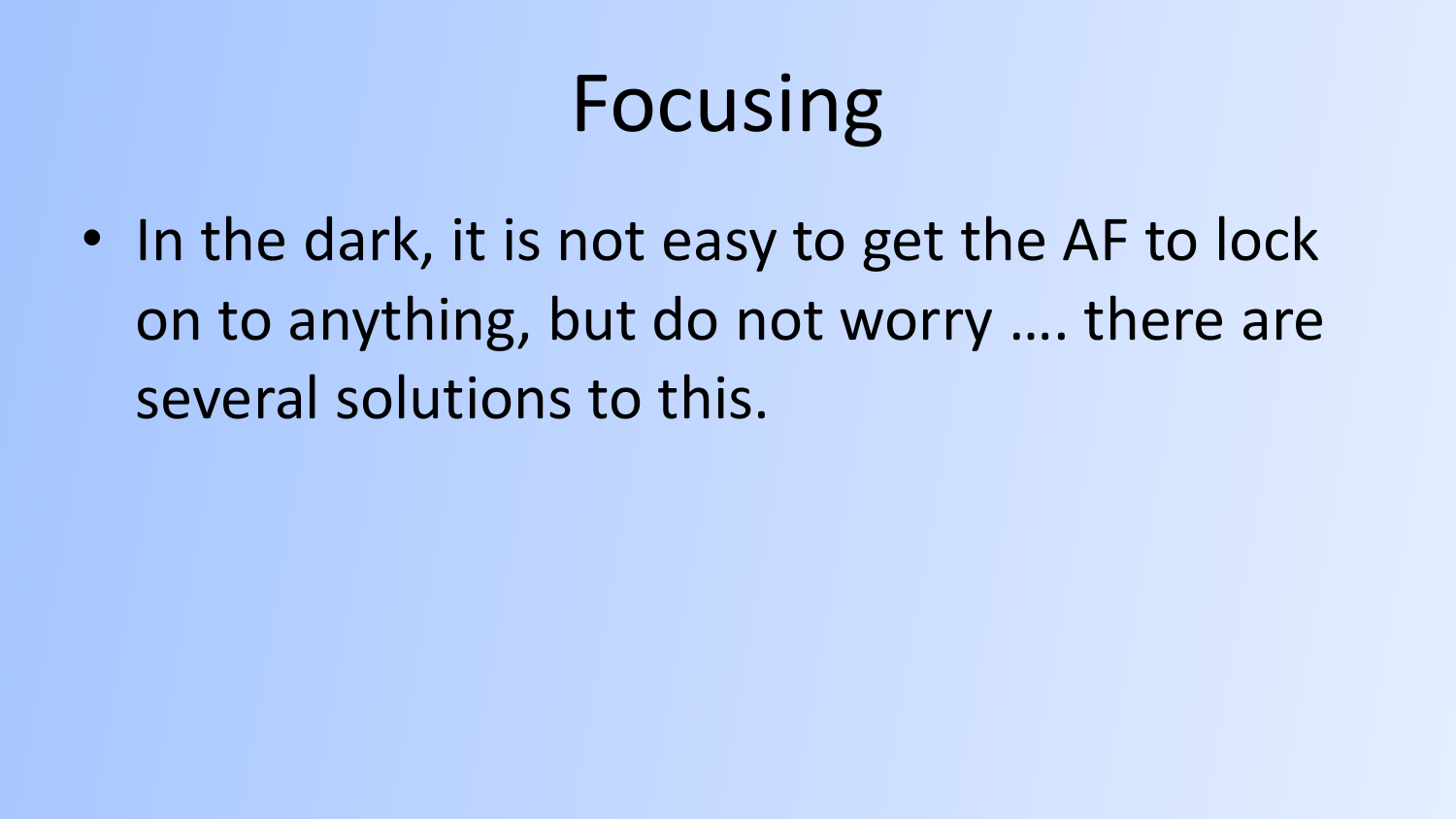#### Focusing

• In the dark, it is not easy to get the AF to lock on to anything, but do not worry .... there are several solutions to this.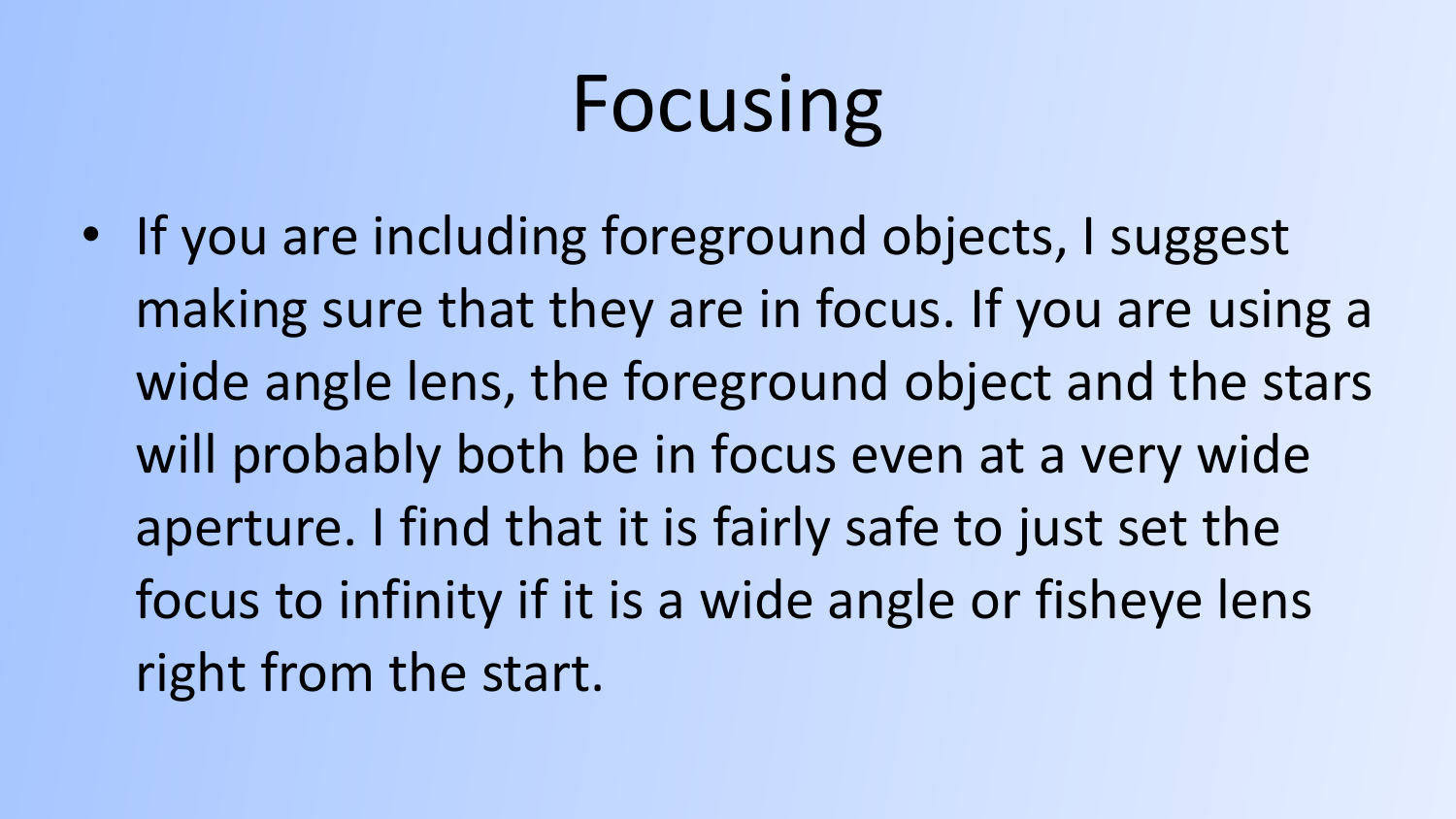## Focusing

• If you are including foreground objects, I suggest making sure that they are in focus. If you are using a wide angle lens, the foreground object and the stars will probably both be in focus even at a very wide aperture. I find that it is fairly safe to just set the focus to infinity if it is a wide angle or fisheye lens right from the start.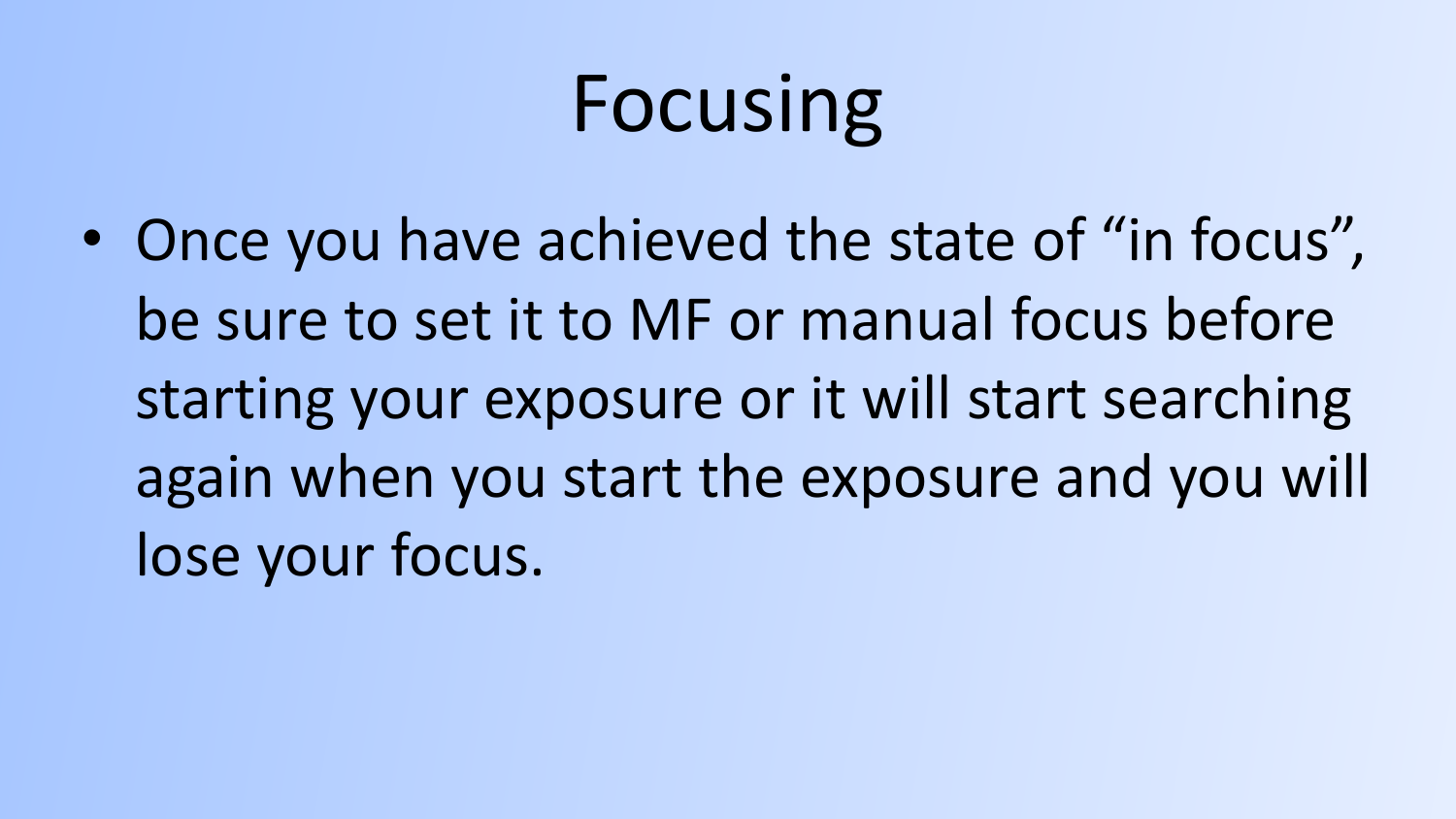#### Focusing

• Once you have achieved the state of "in focus", be sure to set it to MF or manual focus before starting your exposure or it will start searching again when you start the exposure and you will lose your focus.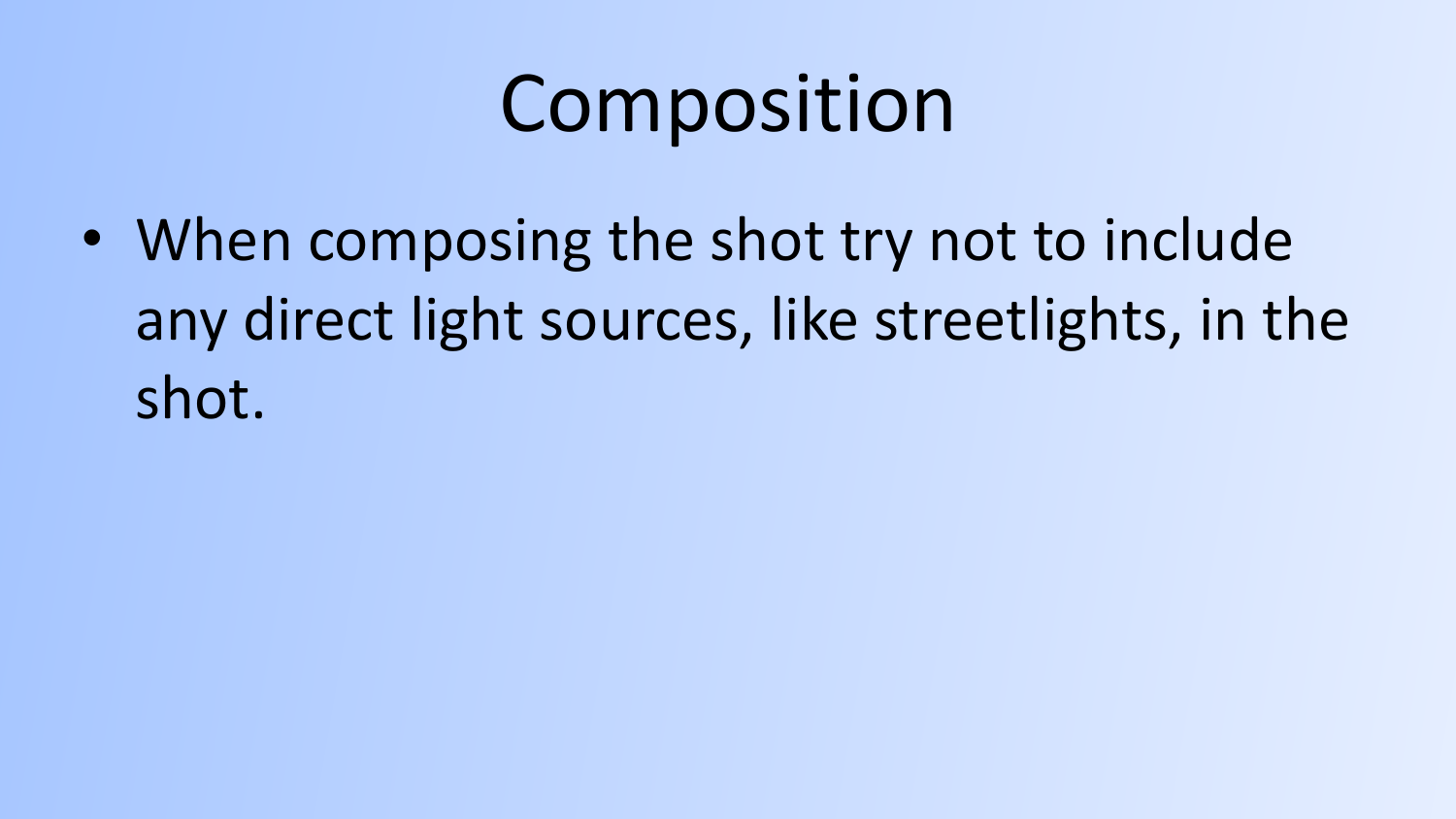#### Composition

• When composing the shot try not to include any direct light sources, like streetlights, in the shot.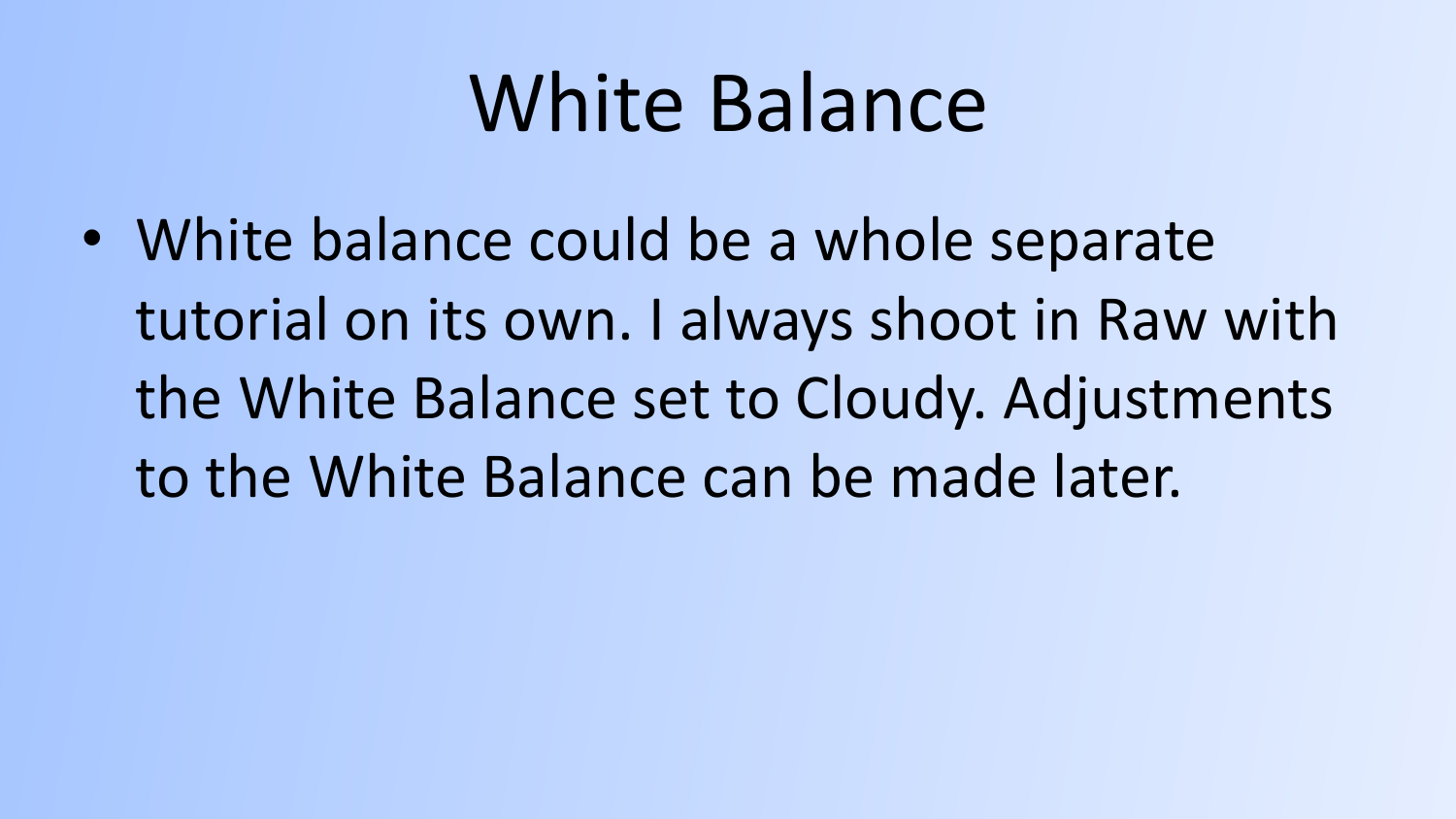#### White Balance

• White balance could be a whole separate tutorial on its own. I always shoot in Raw with the White Balance set to Cloudy. Adjustments to the White Balance can be made later.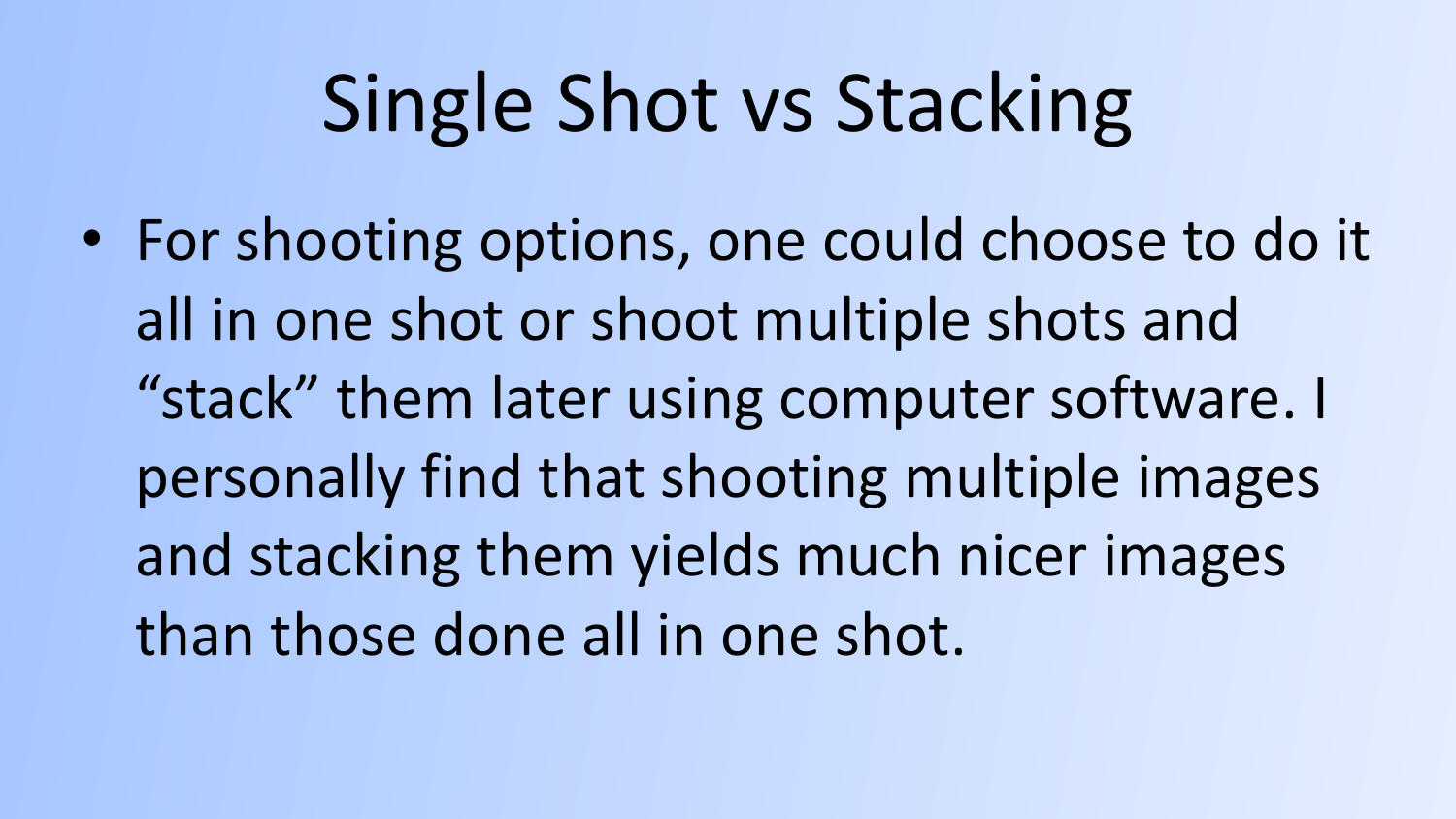#### Single Shot vs Stacking

• For shooting options, one could choose to do it all in one shot or shoot multiple shots and "stack" them later using computer software. I personally find that shooting multiple images and stacking them yields much nicer images than those done all in one shot.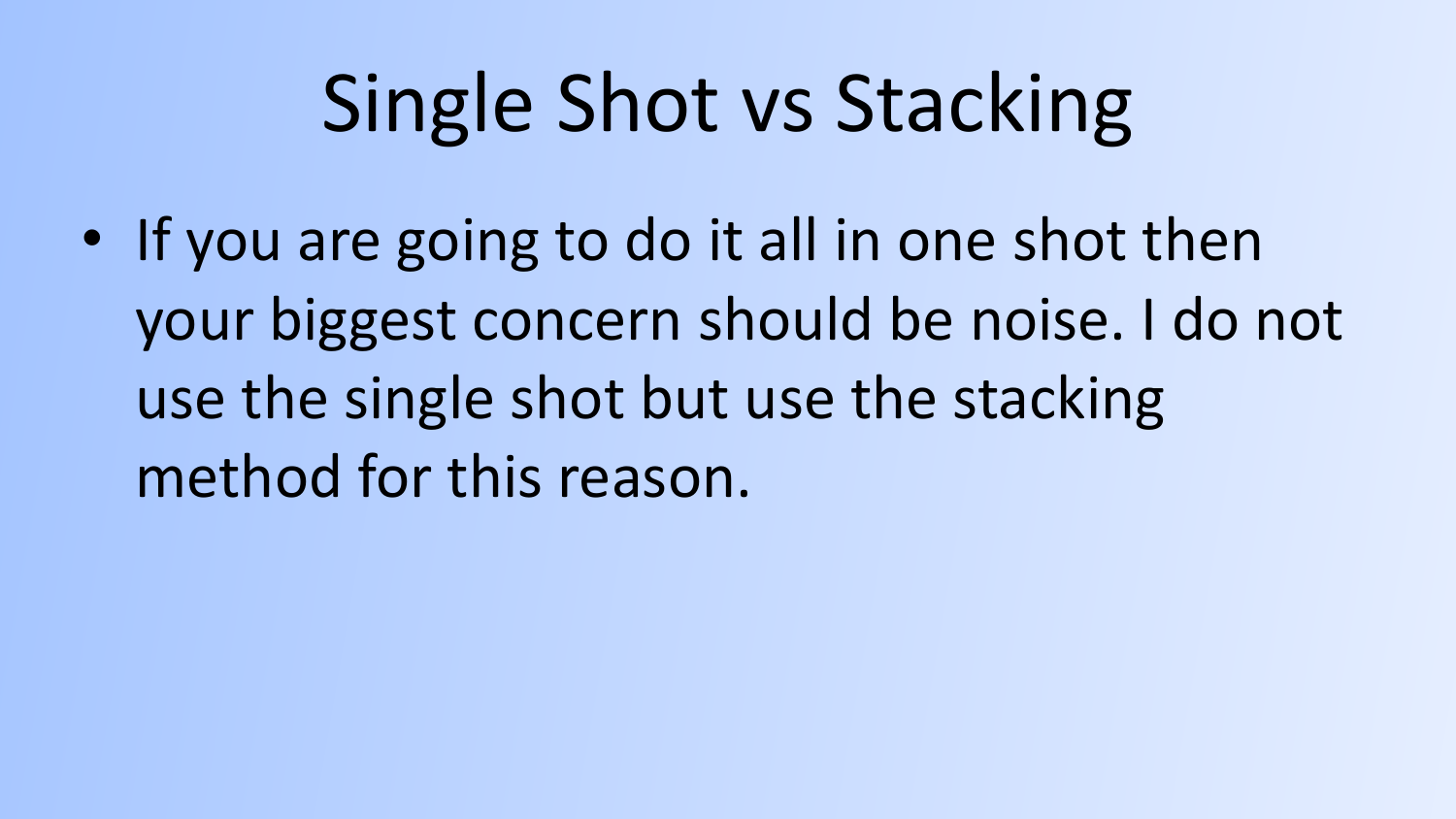#### Single Shot vs Stacking

• If you are going to do it all in one shot then your biggest concern should be noise. I do not use the single shot but use the stacking method for this reason.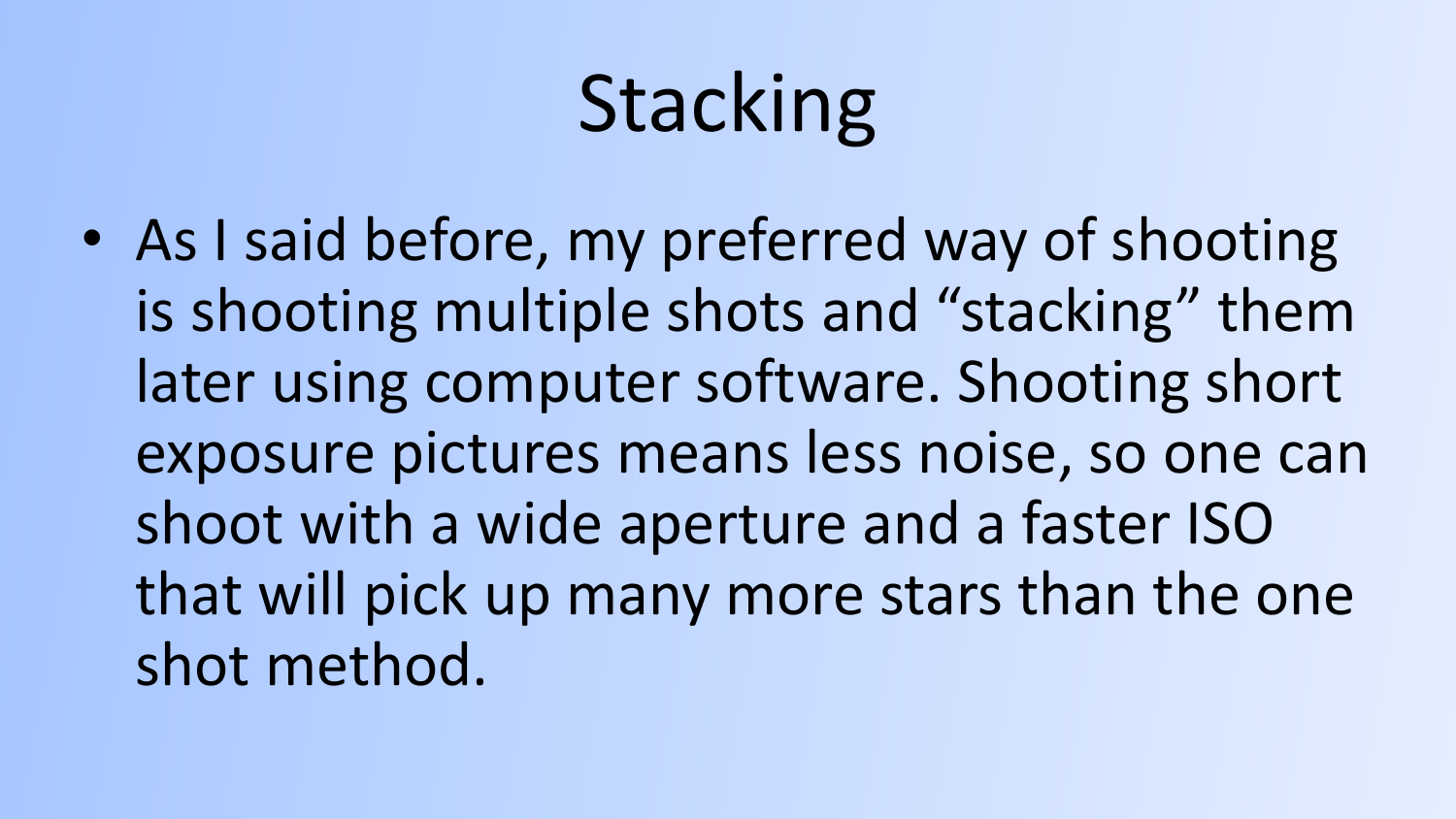## Stacking

• As I said before, my preferred way of shooting is shooting multiple shots and "stacking" them later using computer software. Shooting short exposure pictures means less noise, so one can shoot with a wide aperture and a faster ISO that will pick up many more stars than the one shot method.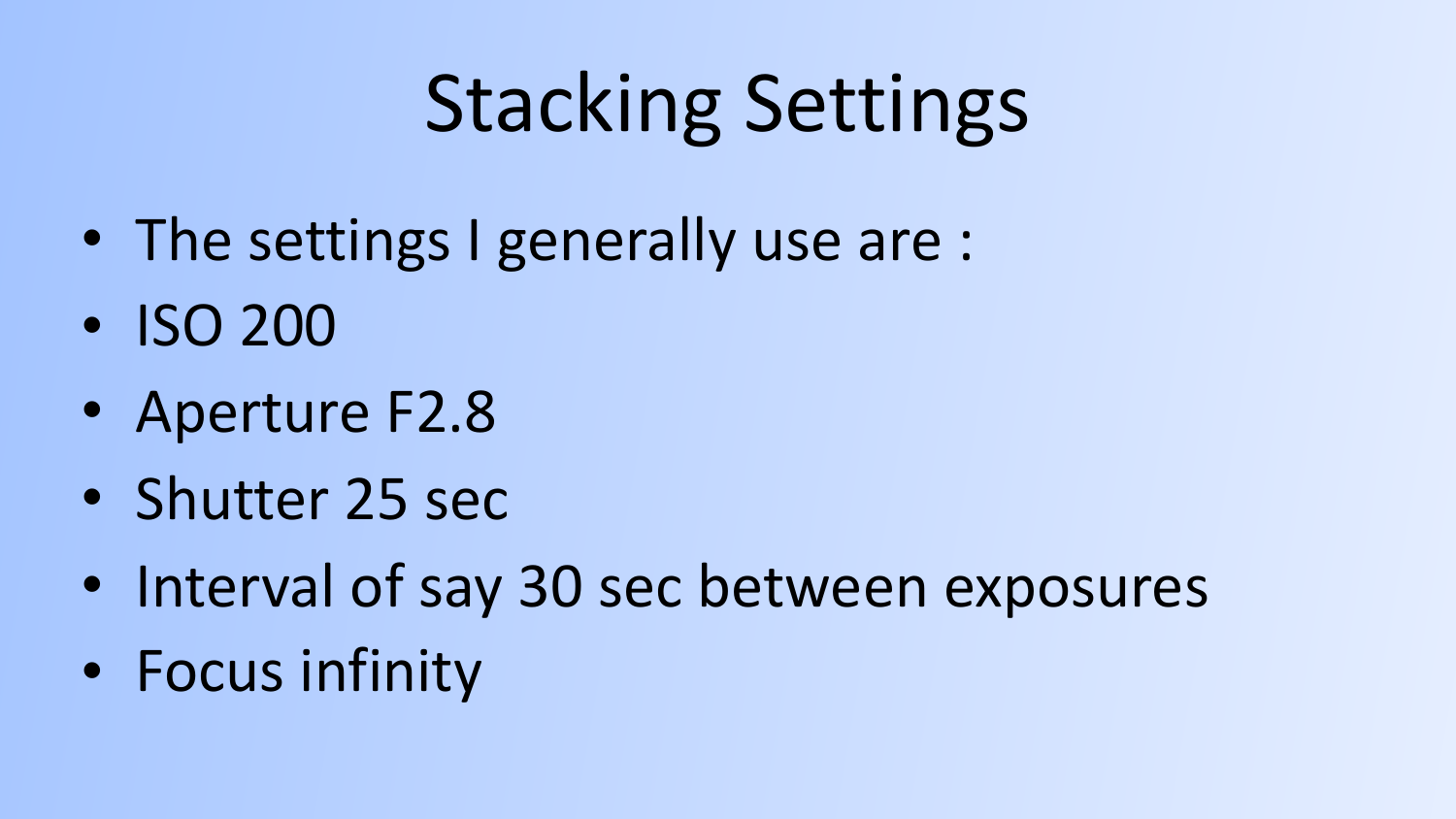# **Stacking Settings**

- The settings I generally use are :
- ISO 200
- Aperture F2.8
- Shutter 25 sec
- Interval of say 30 sec between exposures
- Focus infinity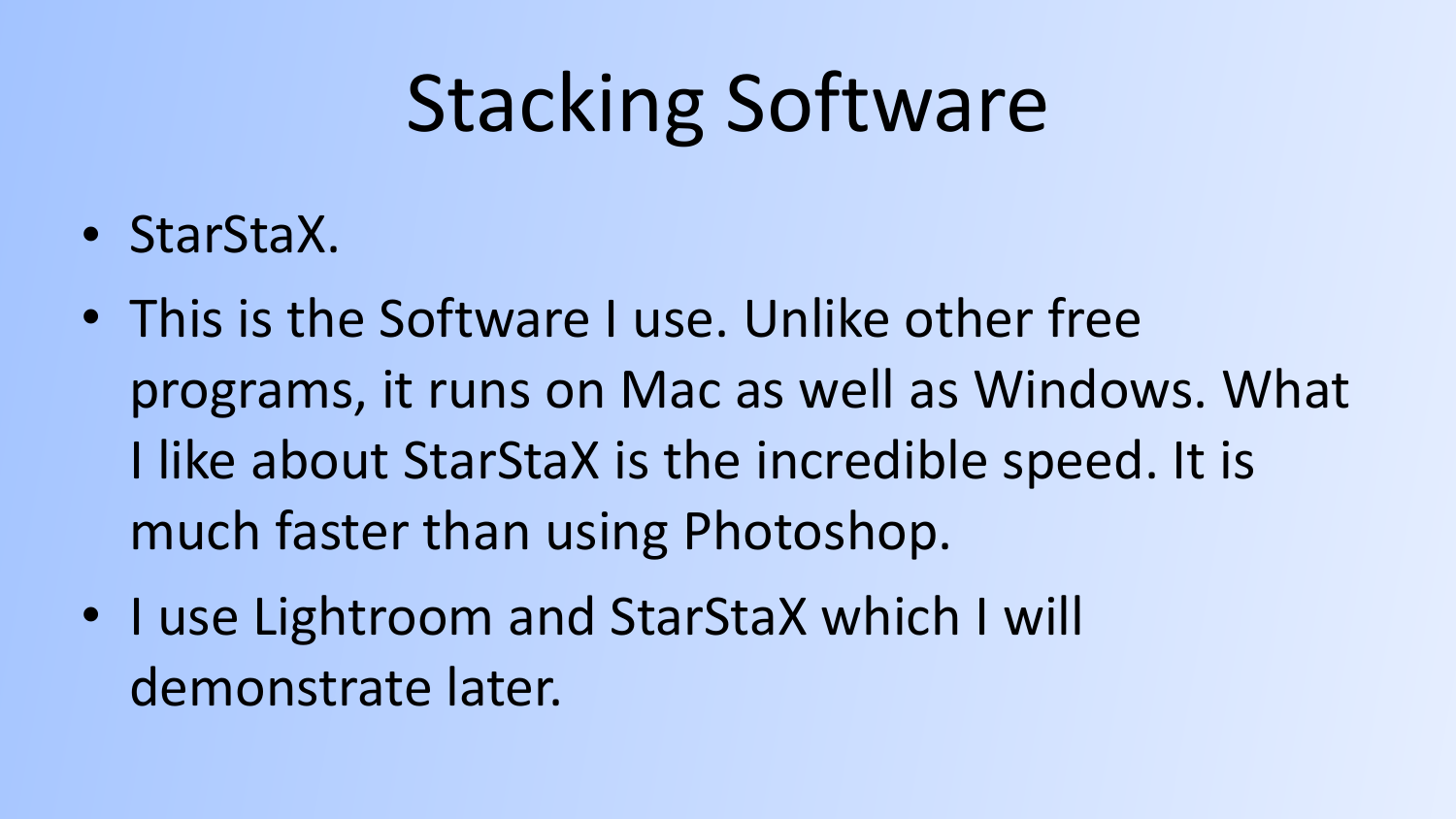## **Stacking Software**

- StarStaX.
- This is the Software I use. Unlike other free programs, it runs on Mac as well as Windows. What I like about StarStaX is the incredible speed. It is much faster than using Photoshop.
- I use Lightroom and StarStaX which I will demonstrate later.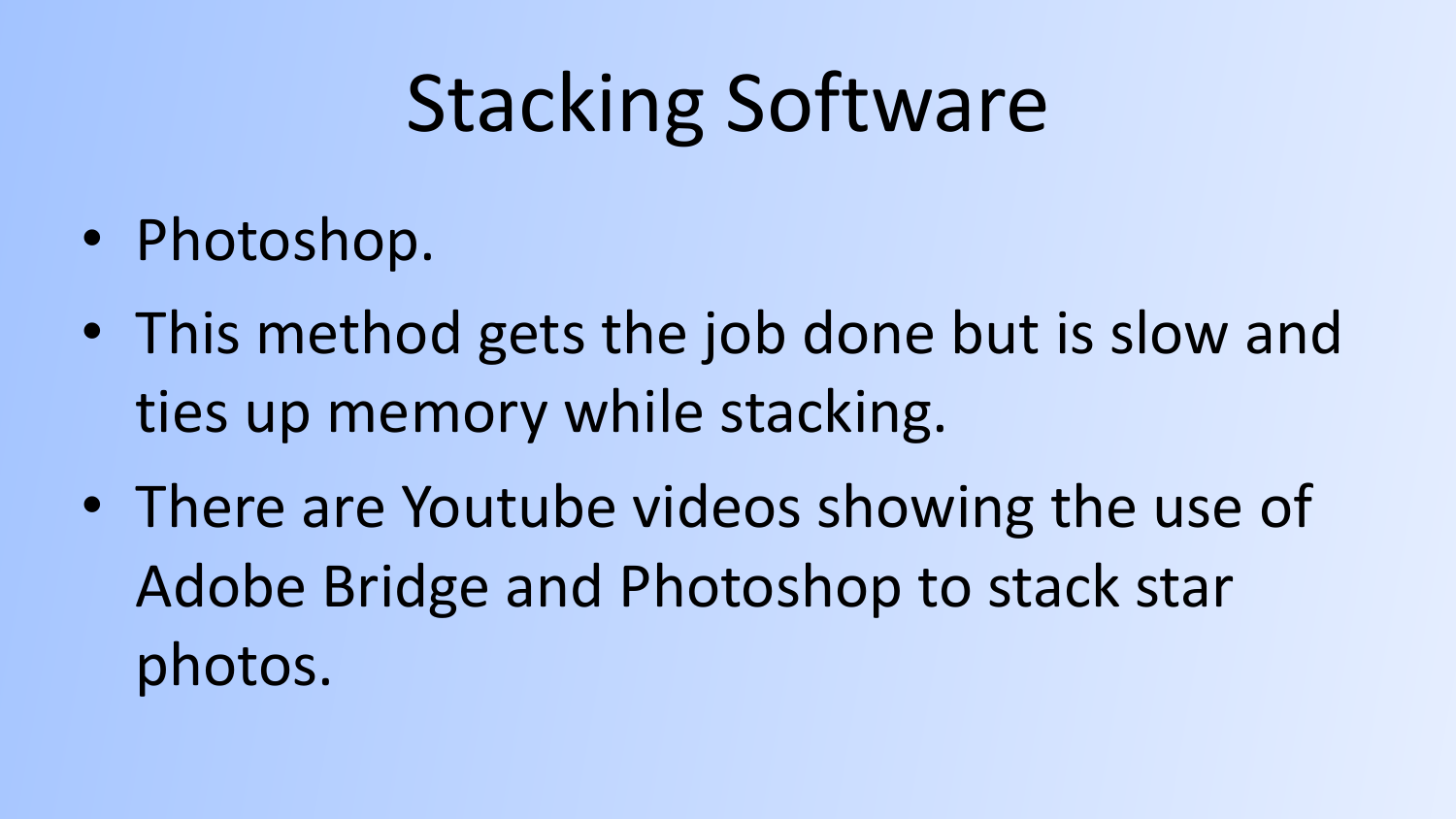## **Stacking Software**

- Photoshop.
- This method gets the job done but is slow and ties up memory while stacking.
- There are Youtube videos showing the use of Adobe Bridge and Photoshop to stack star photos.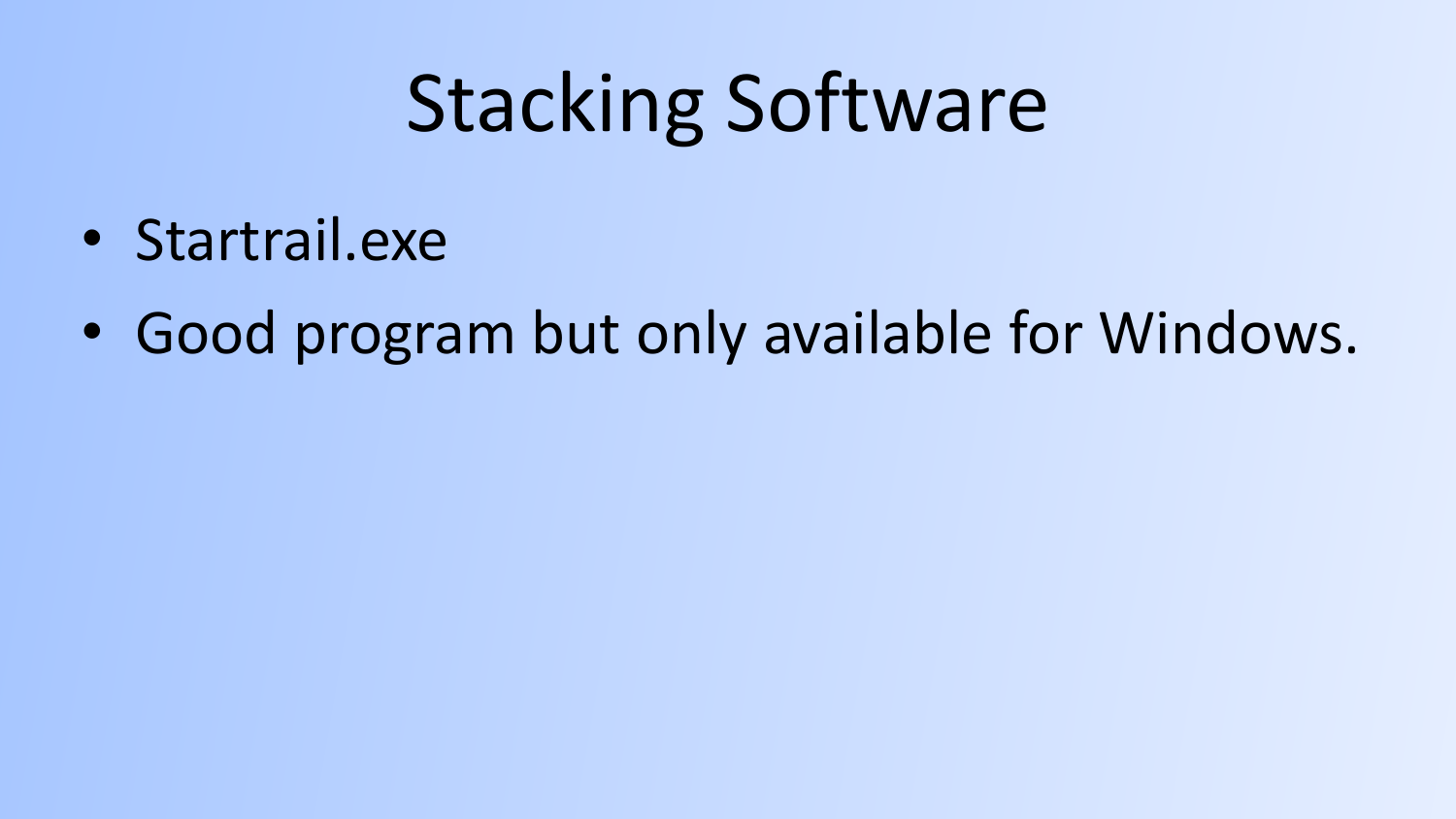#### **Stacking Software**

- Startrail.exe
- Good program but only available for Windows.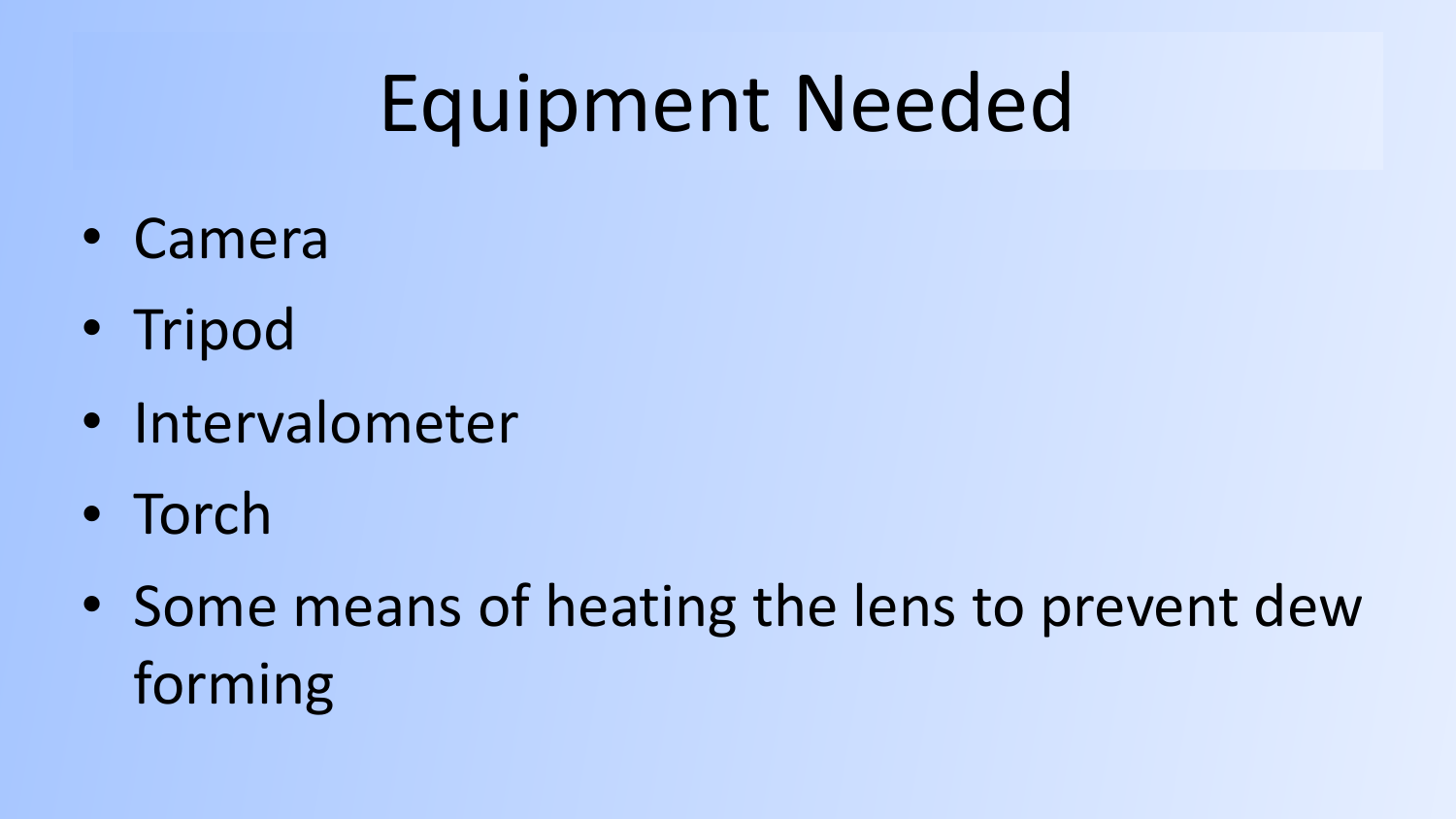#### Equipment Needed

- Camera
- Tripod
- Intervalometer
- Torch
- Some means of heating the lens to prevent dew forming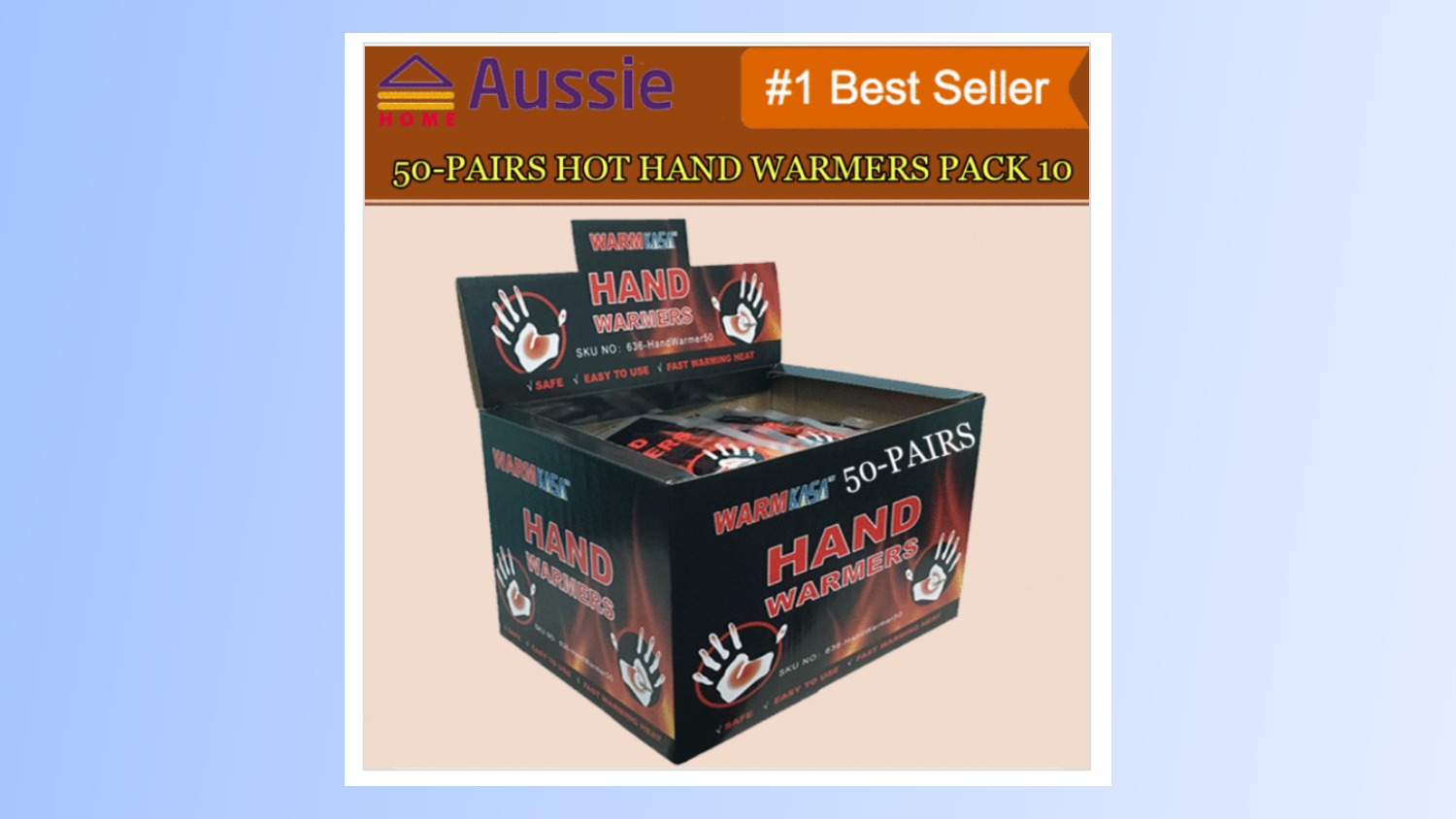

#### 50-PAIRS HOT HAND WARMERS PACK 10